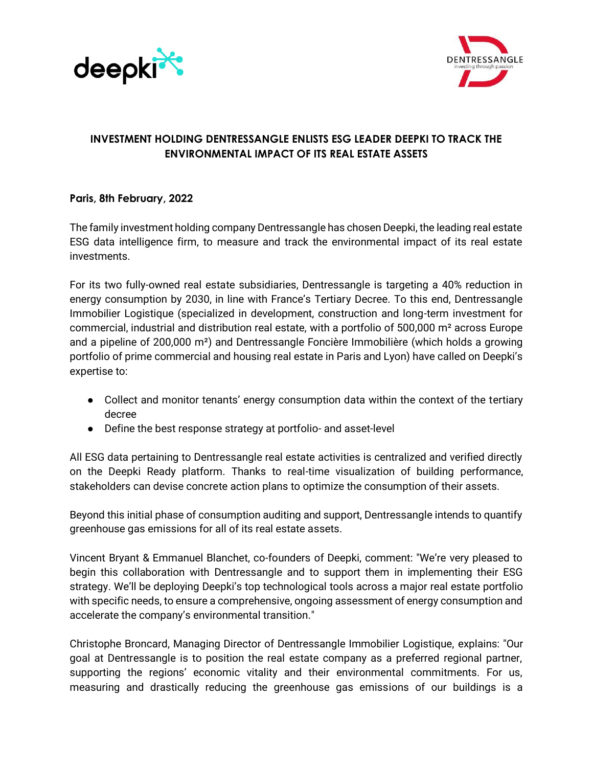



# **INVESTMENT HOLDING DENTRESSANGLE ENLISTS ESG LEADER DEEPKI TO TRACK THE ENVIRONMENTAL IMPACT OF ITS REAL ESTATE ASSETS**

## **Paris, 8th February, 2022**

The family investment holding company Dentressangle has chosen Deepki, the leading real estate ESG data intelligence firm, to measure and track the environmental impact of its real estate investments.

For its two fully-owned real estate subsidiaries, Dentressangle is targeting a 40% reduction in energy consumption by 2030, in line with France's Tertiary Decree. To this end, Dentressangle Immobilier Logistique (specialized in development, construction and long-term investment for commercial, industrial and distribution real estate, with a portfolio of 500,000 m² across Europe and a pipeline of 200,000 m²) and Dentressangle Foncière Immobilière (which holds a growing portfolio of prime commercial and housing real estate in Paris and Lyon) have called on Deepki's expertise to:

- Collect and monitor tenants' energy consumption data within the context of the tertiary decree
- Define the best response strategy at portfolio- and asset-level

All ESG data pertaining to Dentressangle real estate activities is centralized and verified directly on the Deepki Ready platform. Thanks to real-time visualization of building performance, stakeholders can devise concrete action plans to optimize the consumption of their assets.

Beyond this initial phase of consumption auditing and support, Dentressangle intends to quantify greenhouse gas emissions for all of its real estate assets.

Vincent Bryant & Emmanuel Blanchet, co-founders of Deepki, comment: "We're very pleased to begin this collaboration with Dentressangle and to support them in implementing their ESG strategy. We'll be deploying Deepki's top technological tools across a major real estate portfolio with specific needs, to ensure a comprehensive, ongoing assessment of energy consumption and accelerate the company's environmental transition."

Christophe Broncard, Managing Director of Dentressangle Immobilier Logistique, explains: "Our goal at Dentressangle is to position the real estate company as a preferred regional partner, supporting the regions' economic vitality and their environmental commitments. For us, measuring and drastically reducing the greenhouse gas emissions of our buildings is a